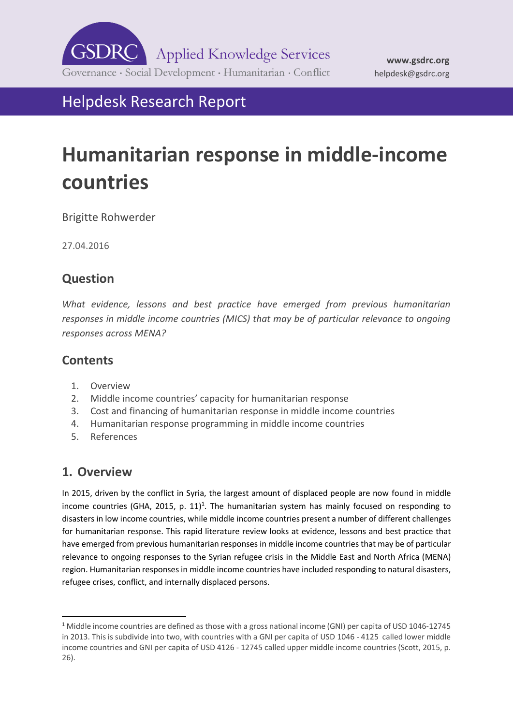

Helpdesk Research Report

# **Humanitarian response in middle-income countries**

Brigitte Rohwerder

27.04.2016

# **Question**

*What evidence, lessons and best practice have emerged from previous humanitarian responses in middle income countries (MICS) that may be of particular relevance to ongoing responses across MENA?* 

# **Contents**

- 1. [Overview](#page-0-0)
- 2. Middle income countries' ca[pacity for humanitarian response](#page-2-0)
- 3. [Cost and financing of humanitarian response in middle income countries](#page-6-0)
- 4. [Humanitarian response programming in middle income countries](#page-8-0)
- <span id="page-0-0"></span>5. [References](#page-13-0)

# **1. Overview**

-

In 2015, driven by the conflict in Syria, the largest amount of displaced people are now found in middle income countries (GHA, 2015, p. 11)<sup>1</sup>. The humanitarian system has mainly focused on responding to disasters in low income countries, while middle income countries present a number of different challenges for humanitarian response. This rapid literature review looks at evidence, lessons and best practice that have emerged from previous humanitarian responses in middle income countries that may be of particular relevance to ongoing responses to the Syrian refugee crisis in the Middle East and North Africa (MENA) region. Humanitarian responses in middle income countries have included responding to natural disasters, refugee crises, conflict, and internally displaced persons.

<sup>1</sup> Middle income countries are defined as those with a gross national income (GNI) per capita of USD 1046-12745 in 2013. This is subdivide into two, with countries with a GNI per capita of USD 1046 - 4125 called lower middle income countries and GNI per capita of USD 4126 - 12745 called upper middle income countries (Scott, 2015, p. 26).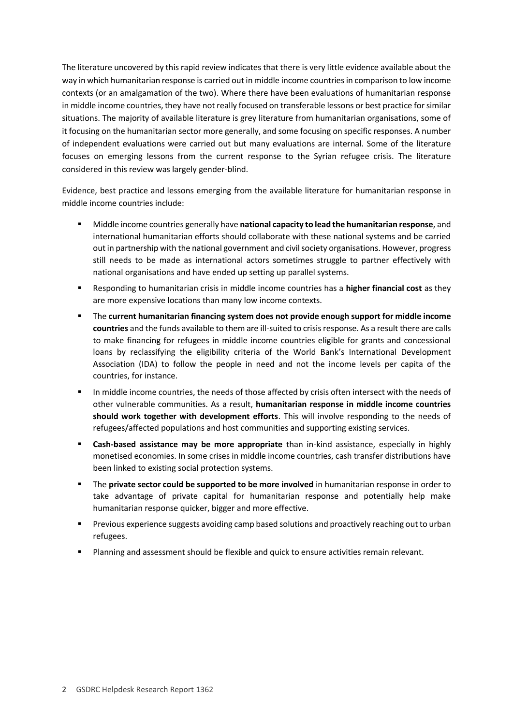The literature uncovered by this rapid review indicates that there is very little evidence available about the way in which humanitarian response is carried out in middle income countries in comparison to low income contexts (or an amalgamation of the two). Where there have been evaluations of humanitarian response in middle income countries, they have not really focused on transferable lessons or best practice for similar situations. The majority of available literature is grey literature from humanitarian organisations, some of it focusing on the humanitarian sector more generally, and some focusing on specific responses. A number of independent evaluations were carried out but many evaluations are internal. Some of the literature focuses on emerging lessons from the current response to the Syrian refugee crisis. The literature considered in this review was largely gender-blind.

Evidence, best practice and lessons emerging from the available literature for humanitarian response in middle income countries include:

- Middle income countries generally have **national capacity to lead the humanitarian response**, and international humanitarian efforts should collaborate with these national systems and be carried out in partnership with the national government and civil society organisations. However, progress still needs to be made as international actors sometimes struggle to partner effectively with national organisations and have ended up setting up parallel systems.
- Responding to humanitarian crisis in middle income countries has a **higher financial cost** as they are more expensive locations than many low income contexts.
- The **current humanitarian financing system does not provide enough support for middle income countries** and the funds available to them are ill-suited to crisis response. As a result there are calls to make financing for refugees in middle income countries eligible for grants and concessional loans by reclassifying the eligibility criteria of the World Bank's International Development Association (IDA) to follow the people in need and not the income levels per capita of the countries, for instance.
- In middle income countries, the needs of those affected by crisis often intersect with the needs of other vulnerable communities. As a result, **humanitarian response in middle income countries should work together with development efforts**. This will involve responding to the needs of refugees/affected populations and host communities and supporting existing services.
- **Cash-based assistance may be more appropriate** than in-kind assistance, especially in highly monetised economies. In some crises in middle income countries, cash transfer distributions have been linked to existing social protection systems.
- The **private sector could be supported to be more involved** in humanitarian response in order to take advantage of private capital for humanitarian response and potentially help make humanitarian response quicker, bigger and more effective.
- **Previous experience suggests avoiding camp based solutions and proactively reaching out to urban** refugees.
- Planning and assessment should be flexible and quick to ensure activities remain relevant.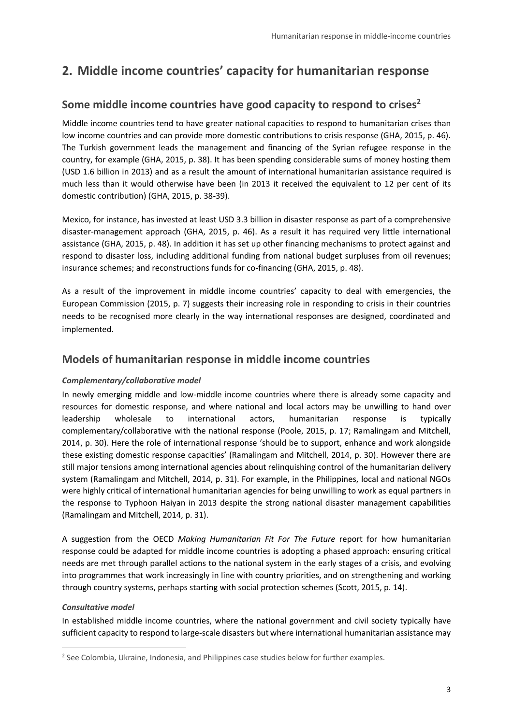# <span id="page-2-0"></span>**2. Middle income countries' capacity for humanitarian response**

### **Some middle income countries have good capacity to respond to crises<sup>2</sup>**

Middle income countries tend to have greater national capacities to respond to humanitarian crises than low income countries and can provide more domestic contributions to crisis response (GHA, 2015, p. 46). The Turkish government leads the management and financing of the Syrian refugee response in the country, for example (GHA, 2015, p. 38). It has been spending considerable sums of money hosting them (USD 1.6 billion in 2013) and as a result the amount of international humanitarian assistance required is much less than it would otherwise have been (in 2013 it received the equivalent to 12 per cent of its domestic contribution) (GHA, 2015, p. 38-39).

Mexico, for instance, has invested at least USD 3.3 billion in disaster response as part of a comprehensive disaster-management approach (GHA, 2015, p. 46). As a result it has required very little international assistance (GHA, 2015, p. 48). In addition it has set up other financing mechanisms to protect against and respond to disaster loss, including additional funding from national budget surpluses from oil revenues; insurance schemes; and reconstructions funds for co-financing (GHA, 2015, p. 48).

As a result of the improvement in middle income countries' capacity to deal with emergencies, the European Commission (2015, p. 7) suggests their increasing role in responding to crisis in their countries needs to be recognised more clearly in the way international responses are designed, coordinated and implemented.

### **Models of humanitarian response in middle income countries**

### *Complementary/collaborative model*

In newly emerging middle and low-middle income countries where there is already some capacity and resources for domestic response, and where national and local actors may be unwilling to hand over leadership wholesale to international actors, humanitarian response is typically complementary/collaborative with the national response (Poole, 2015, p. 17; Ramalingam and Mitchell, 2014, p. 30). Here the role of international response 'should be to support, enhance and work alongside these existing domestic response capacities' (Ramalingam and Mitchell, 2014, p. 30). However there are still major tensions among international agencies about relinquishing control of the humanitarian delivery system (Ramalingam and Mitchell, 2014, p. 31). For example, in the Philippines, local and national NGOs were highly critical of international humanitarian agencies for being unwilling to work as equal partners in the response to Typhoon Haiyan in 2013 despite the strong national disaster management capabilities (Ramalingam and Mitchell, 2014, p. 31).

A suggestion from the OECD *Making Humanitarian Fit For The Future* report for how humanitarian response could be adapted for middle income countries is adopting a phased approach: ensuring critical needs are met through parallel actions to the national system in the early stages of a crisis, and evolving into programmes that work increasingly in line with country priorities, and on strengthening and working through country systems, perhaps starting with social protection schemes (Scott, 2015, p. 14).

#### *Consultative model*

-

In established middle income countries, where the national government and civil society typically have sufficient capacity to respond to large-scale disasters but where international humanitarian assistance may

<sup>&</sup>lt;sup>2</sup> See Colombia, Ukraine, Indonesia, and Philippines case studies below for further examples.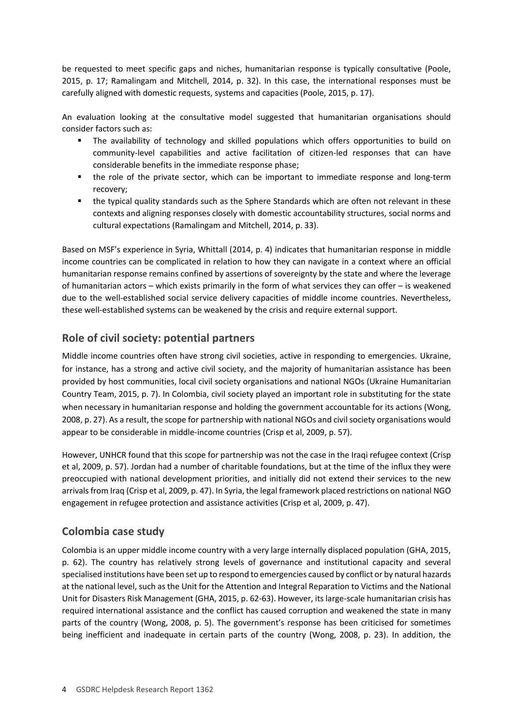be requested to meet specific gaps and niches, humanitarian response is typically consultative (Poole, 2015, p. 17; Ramalingam and Mitchell, 2014, p. 32). In this case, the international responses must be carefully aligned with domestic requests, systems and capacities (Poole, 2015, p. 17).

An evaluation looking at the consultative model suggested that humanitarian organisations should consider factors such as:

- The availability of technology and skilled populations which offers opportunities to build on community-level capabilities and active facilitation of citizen-led responses that can have considerable benefits in the immediate response phase;
- the role of the private sector, which can be important to immediate response and long-term recovery;
- the typical quality standards such as the Sphere Standards which are often not relevant in these contexts and aligning responses closely with domestic accountability structures, social norms and cultural expectations (Ramalingam and Mitchell, 2014, p. 33).

Based on MSF's experience in Syria, Whittall (2014, p. 4) indicates that humanitarian response in middle income countries can be complicated in relation to how they can navigate in a context where an official humanitarian response remains confined by assertions of sovereignty by the state and where the leverage of humanitarian actors – which exists primarily in the form of what services they can offer – is weakened due to the well-established social service delivery capacities of middle income countries. Nevertheless, these well-established systems can be weakened by the crisis and require external support.

# **Role of civil society: potential partners**

Middle income countries often have strong civil societies, active in responding to emergencies. Ukraine, for instance, has a strong and active civil society, and the majority of humanitarian assistance has been provided by host communities, local civil society organisations and national NGOs (Ukraine Humanitarian Country Team, 2015, p. 7). In Colombia, civil society played an important role in substituting for the state when necessary in humanitarian response and holding the government accountable for its actions (Wong, 2008, p. 27). As a result, the scope for partnership with national NGOs and civil society organisations would appear to be considerable in middle-income countries (Crisp et al, 2009, p. 57).

However, UNHCR found that this scope for partnership was not the case in the Iraqi refugee context (Crisp et al, 2009, p. 57). Jordan had a number of charitable foundations, but at the time of the influx they were preoccupied with national development priorities, and initially did not extend their services to the new arrivals from Iraq (Crisp et al, 2009, p. 47). In Syria, the legal framework placed restrictions on national NGO engagement in refugee protection and assistance activities (Crisp et al, 2009, p. 47).

### **Colombia case study**

Colombia is an upper middle income country with a very large internally displaced population (GHA, 2015, p. 62). The country has relatively strong levels of governance and institutional capacity and several specialised institutions have been set up to respond to emergencies caused by conflict or by natural hazards at the national level, such as the Unit for the Attention and Integral Reparation to Victims and the National Unit for Disasters Risk Management (GHA, 2015, p. 62-63). However, its large-scale humanitarian crisis has required international assistance and the conflict has caused corruption and weakened the state in many parts of the country (Wong, 2008, p. 5). The government's response has been criticised for sometimes being inefficient and inadequate in certain parts of the country (Wong, 2008, p. 23). In addition, the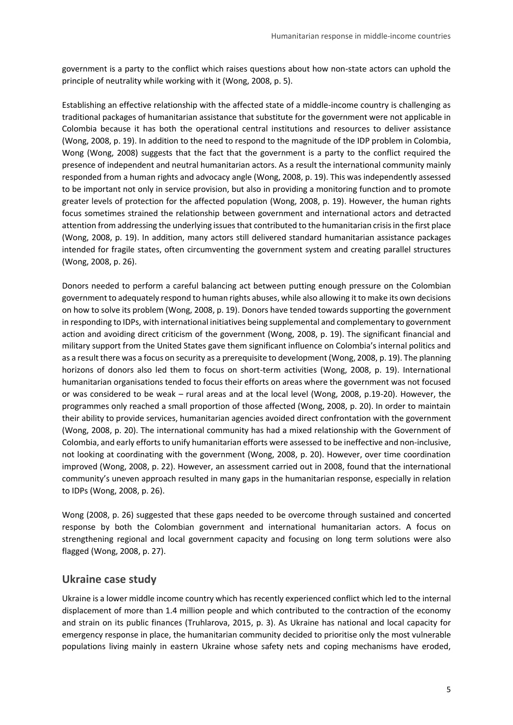government is a party to the conflict which raises questions about how non-state actors can uphold the principle of neutrality while working with it (Wong, 2008, p. 5).

Establishing an effective relationship with the affected state of a middle-income country is challenging as traditional packages of humanitarian assistance that substitute for the government were not applicable in Colombia because it has both the operational central institutions and resources to deliver assistance (Wong, 2008, p. 19). In addition to the need to respond to the magnitude of the IDP problem in Colombia, Wong (Wong, 2008) suggests that the fact that the government is a party to the conflict required the presence of independent and neutral humanitarian actors. As a result the international community mainly responded from a human rights and advocacy angle (Wong, 2008, p. 19). This was independently assessed to be important not only in service provision, but also in providing a monitoring function and to promote greater levels of protection for the affected population (Wong, 2008, p. 19). However, the human rights focus sometimes strained the relationship between government and international actors and detracted attention from addressing the underlying issues that contributed to the humanitarian crisis in the first place (Wong, 2008, p. 19). In addition, many actors still delivered standard humanitarian assistance packages intended for fragile states, often circumventing the government system and creating parallel structures (Wong, 2008, p. 26).

Donors needed to perform a careful balancing act between putting enough pressure on the Colombian government to adequately respond to human rights abuses, while also allowing it to make its own decisions on how to solve its problem (Wong, 2008, p. 19). Donors have tended towards supporting the government in responding to IDPs, with international initiatives being supplemental and complementary to government action and avoiding direct criticism of the government (Wong, 2008, p. 19). The significant financial and military support from the United States gave them significant influence on Colombia's internal politics and as a result there was a focus on security as a prerequisite to development (Wong, 2008, p. 19). The planning horizons of donors also led them to focus on short-term activities (Wong, 2008, p. 19). International humanitarian organisations tended to focus their efforts on areas where the government was not focused or was considered to be weak – rural areas and at the local level (Wong, 2008, p.19-20). However, the programmes only reached a small proportion of those affected (Wong, 2008, p. 20). In order to maintain their ability to provide services, humanitarian agencies avoided direct confrontation with the government (Wong, 2008, p. 20). The international community has had a mixed relationship with the Government of Colombia, and early efforts to unify humanitarian efforts were assessed to be ineffective and non-inclusive, not looking at coordinating with the government (Wong, 2008, p. 20). However, over time coordination improved (Wong, 2008, p. 22). However, an assessment carried out in 2008, found that the international community's uneven approach resulted in many gaps in the humanitarian response, especially in relation to IDPs (Wong, 2008, p. 26).

Wong (2008, p. 26) suggested that these gaps needed to be overcome through sustained and concerted response by both the Colombian government and international humanitarian actors. A focus on strengthening regional and local government capacity and focusing on long term solutions were also flagged (Wong, 2008, p. 27).

### **Ukraine case study**

Ukraine is a lower middle income country which has recently experienced conflict which led to the internal displacement of more than 1.4 million people and which contributed to the contraction of the economy and strain on its public finances (Truhlarova, 2015, p. 3). As Ukraine has national and local capacity for emergency response in place, the humanitarian community decided to prioritise only the most vulnerable populations living mainly in eastern Ukraine whose safety nets and coping mechanisms have eroded,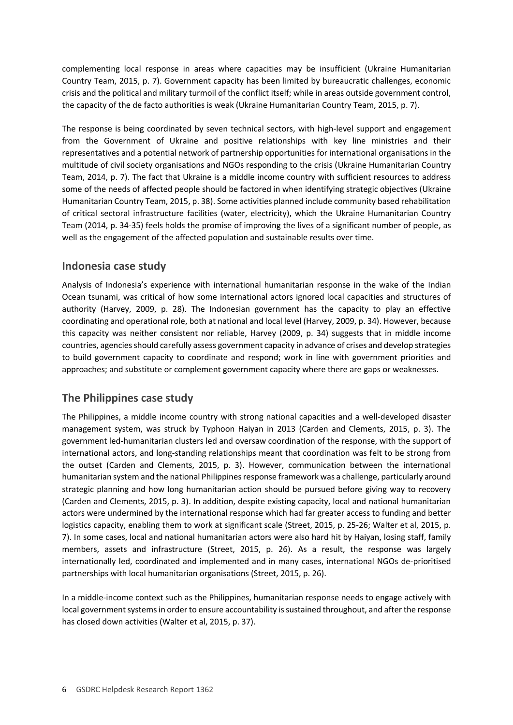complementing local response in areas where capacities may be insufficient (Ukraine Humanitarian Country Team, 2015, p. 7). Government capacity has been limited by bureaucratic challenges, economic crisis and the political and military turmoil of the conflict itself; while in areas outside government control, the capacity of the de facto authorities is weak (Ukraine Humanitarian Country Team, 2015, p. 7).

The response is being coordinated by seven technical sectors, with high-level support and engagement from the Government of Ukraine and positive relationships with key line ministries and their representatives and a potential network of partnership opportunities for international organisations in the multitude of civil society organisations and NGOs responding to the crisis (Ukraine Humanitarian Country Team, 2014, p. 7). The fact that Ukraine is a middle income country with sufficient resources to address some of the needs of affected people should be factored in when identifying strategic objectives (Ukraine Humanitarian Country Team, 2015, p. 38). Some activities planned include community based rehabilitation of critical sectoral infrastructure facilities (water, electricity), which the Ukraine Humanitarian Country Team (2014, p. 34-35) feels holds the promise of improving the lives of a significant number of people, as well as the engagement of the affected population and sustainable results over time.

### **Indonesia case study**

Analysis of Indonesia's experience with international humanitarian response in the wake of the Indian Ocean tsunami, was critical of how some international actors ignored local capacities and structures of authority (Harvey, 2009, p. 28). The Indonesian government has the capacity to play an effective coordinating and operational role, both at national and local level (Harvey, 2009, p. 34). However, because this capacity was neither consistent nor reliable, Harvey (2009, p. 34) suggests that in middle income countries, agencies should carefully assess government capacity in advance of crises and develop strategies to build government capacity to coordinate and respond; work in line with government priorities and approaches; and substitute or complement government capacity where there are gaps or weaknesses.

### **The Philippines case study**

The Philippines, a middle income country with strong national capacities and a well-developed disaster management system, was struck by Typhoon Haiyan in 2013 (Carden and Clements, 2015, p. 3). The government led-humanitarian clusters led and oversaw coordination of the response, with the support of international actors, and long-standing relationships meant that coordination was felt to be strong from the outset (Carden and Clements, 2015, p. 3). However, communication between the international humanitarian system and the national Philippines response framework was a challenge, particularly around strategic planning and how long humanitarian action should be pursued before giving way to recovery (Carden and Clements, 2015, p. 3). In addition, despite existing capacity, local and national humanitarian actors were undermined by the international response which had far greater access to funding and better logistics capacity, enabling them to work at significant scale (Street, 2015, p. 25-26; Walter et al, 2015, p. 7). In some cases, local and national humanitarian actors were also hard hit by Haiyan, losing staff, family members, assets and infrastructure (Street, 2015, p. 26). As a result, the response was largely internationally led, coordinated and implemented and in many cases, international NGOs de-prioritised partnerships with local humanitarian organisations (Street, 2015, p. 26).

In a middle-income context such as the Philippines, humanitarian response needs to engage actively with local government systems in order to ensure accountability is sustained throughout, and after the response has closed down activities (Walter et al, 2015, p. 37).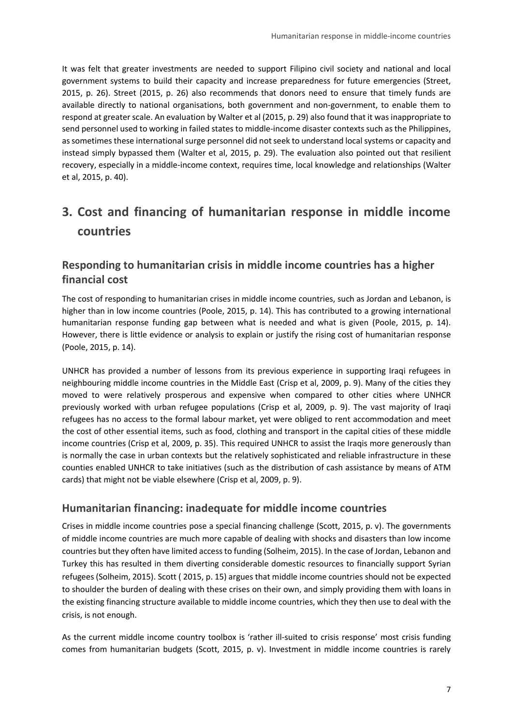It was felt that greater investments are needed to support Filipino civil society and national and local government systems to build their capacity and increase preparedness for future emergencies (Street, 2015, p. 26). Street (2015, p. 26) also recommends that donors need to ensure that timely funds are available directly to national organisations, both government and non-government, to enable them to respond at greater scale. An evaluation by Walter et al (2015, p. 29) also found that it was inappropriate to send personnel used to working in failed states to middle-income disaster contexts such as the Philippines, as sometimes these international surge personnel did not seek to understand local systems or capacity and instead simply bypassed them (Walter et al, 2015, p. 29). The evaluation also pointed out that resilient recovery, especially in a middle-income context, requires time, local knowledge and relationships (Walter et al, 2015, p. 40).

# <span id="page-6-0"></span>**3. Cost and financing of humanitarian response in middle income countries**

# **Responding to humanitarian crisis in middle income countries has a higher financial cost**

The cost of responding to humanitarian crises in middle income countries, such as Jordan and Lebanon, is higher than in low income countries (Poole, 2015, p. 14). This has contributed to a growing international humanitarian response funding gap between what is needed and what is given (Poole, 2015, p. 14). However, there is little evidence or analysis to explain or justify the rising cost of humanitarian response (Poole, 2015, p. 14).

UNHCR has provided a number of lessons from its previous experience in supporting Iraqi refugees in neighbouring middle income countries in the Middle East (Crisp et al, 2009, p. 9). Many of the cities they moved to were relatively prosperous and expensive when compared to other cities where UNHCR previously worked with urban refugee populations (Crisp et al, 2009, p. 9). The vast majority of Iraqi refugees has no access to the formal labour market, yet were obliged to rent accommodation and meet the cost of other essential items, such as food, clothing and transport in the capital cities of these middle income countries (Crisp et al, 2009, p. 35). This required UNHCR to assist the Iraqis more generously than is normally the case in urban contexts but the relatively sophisticated and reliable infrastructure in these counties enabled UNHCR to take initiatives (such as the distribution of cash assistance by means of ATM cards) that might not be viable elsewhere (Crisp et al, 2009, p. 9).

### **Humanitarian financing: inadequate for middle income countries**

Crises in middle income countries pose a special financing challenge (Scott, 2015, p. v). The governments of middle income countries are much more capable of dealing with shocks and disasters than low income countries but they often have limited access to funding (Solheim, 2015). In the case of Jordan, Lebanon and Turkey this has resulted in them diverting considerable domestic resources to financially support Syrian refugees (Solheim, 2015). Scott ( 2015, p. 15) argues that middle income countries should not be expected to shoulder the burden of dealing with these crises on their own, and simply providing them with loans in the existing financing structure available to middle income countries, which they then use to deal with the crisis, is not enough.

As the current middle income country toolbox is 'rather ill-suited to crisis response' most crisis funding comes from humanitarian budgets (Scott, 2015, p. v). Investment in middle income countries is rarely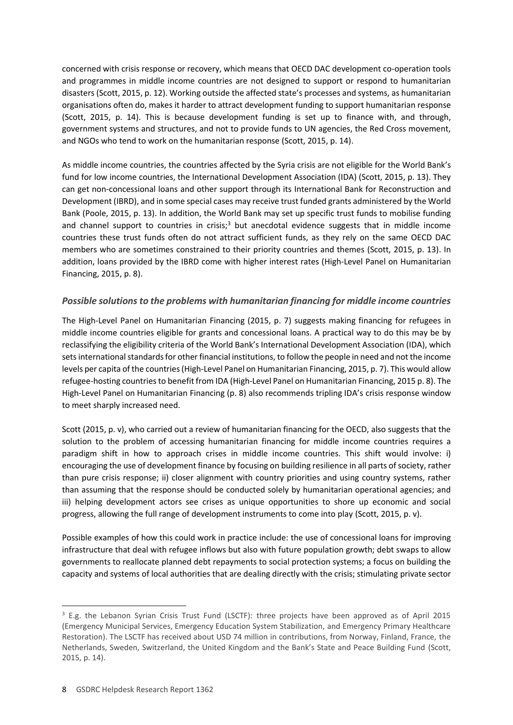concerned with crisis response or recovery, which means that OECD DAC development co-operation tools and programmes in middle income countries are not designed to support or respond to humanitarian disasters (Scott, 2015, p. 12). Working outside the affected state's processes and systems, as humanitarian organisations often do, makes it harder to attract development funding to support humanitarian response (Scott, 2015, p. 14). This is because development funding is set up to finance with, and through, government systems and structures, and not to provide funds to UN agencies, the Red Cross movement, and NGOs who tend to work on the humanitarian response (Scott, 2015, p. 14).

As middle income countries, the countries affected by the Syria crisis are not eligible for the World Bank's fund for low income countries, the International Development Association (IDA) (Scott, 2015, p. 13). They can get non-concessional loans and other support through its International Bank for Reconstruction and Development (IBRD), and in some special cases may receive trust funded grants administered by the World Bank (Poole, 2015, p. 13). In addition, the World Bank may set up specific trust funds to mobilise funding and channel support to countries in crisis;<sup>3</sup> but anecdotal evidence suggests that in middle income countries these trust funds often do not attract sufficient funds, as they rely on the same OECD DAC members who are sometimes constrained to their priority countries and themes (Scott, 2015, p. 13). In addition, loans provided by the IBRD come with higher interest rates (High-Level Panel on Humanitarian Financing, 2015, p. 8).

### *Possible solutions to the problems with humanitarian financing for middle income countries*

The High-Level Panel on Humanitarian Financing (2015, p. 7) suggests making financing for refugees in middle income countries eligible for grants and concessional loans. A practical way to do this may be by reclassifying the eligibility criteria of the World Bank's International Development Association (IDA), which sets international standards for other financial institutions, to follow the people in need and not the income levels per capita of the countries(High-Level Panel on Humanitarian Financing, 2015, p. 7). This would allow refugee-hosting countries to benefit from IDA (High-Level Panel on Humanitarian Financing, 2015 p. 8). The High-Level Panel on Humanitarian Financing (p. 8) also recommends tripling IDA's crisis response window to meet sharply increased need.

Scott (2015, p. v), who carried out a review of humanitarian financing for the OECD, also suggests that the solution to the problem of accessing humanitarian financing for middle income countries requires a paradigm shift in how to approach crises in middle income countries. This shift would involve: i) encouraging the use of development finance by focusing on building resilience in all parts of society, rather than pure crisis response; ii) closer alignment with country priorities and using country systems, rather than assuming that the response should be conducted solely by humanitarian operational agencies; and iii) helping development actors see crises as unique opportunities to shore up economic and social progress, allowing the full range of development instruments to come into play (Scott, 2015, p. v).

Possible examples of how this could work in practice include: the use of concessional loans for improving infrastructure that deal with refugee inflows but also with future population growth; debt swaps to allow governments to reallocate planned debt repayments to social protection systems; a focus on building the capacity and systems of local authorities that are dealing directly with the crisis; stimulating private sector

-

 $3$  E.g. the Lebanon Syrian Crisis Trust Fund (LSCTF): three projects have been approved as of April 2015 (Emergency Municipal Services, Emergency Education System Stabilization, and Emergency Primary Healthcare Restoration). The LSCTF has received about USD 74 million in contributions, from Norway, Finland, France, the Netherlands, Sweden, Switzerland, the United Kingdom and the Bank's State and Peace Building Fund (Scott, 2015, p. 14).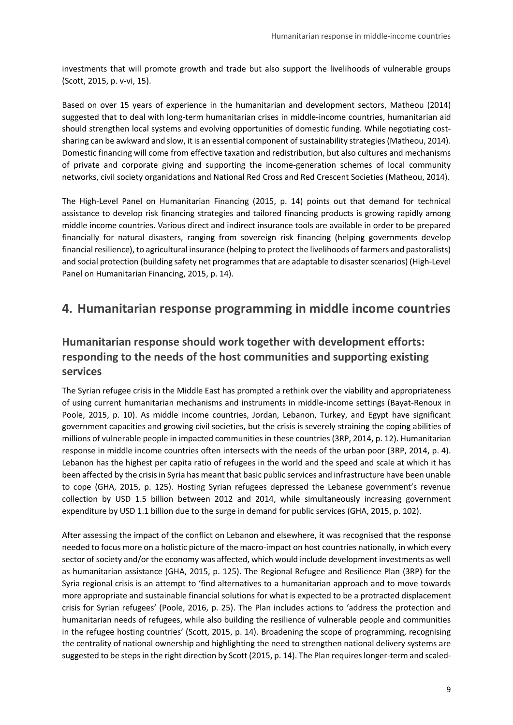investments that will promote growth and trade but also support the livelihoods of vulnerable groups (Scott, 2015, p. v-vi, 15).

Based on over 15 years of experience in the humanitarian and development sectors, Matheou (2014) suggested that to deal with long-term humanitarian crises in middle-income countries, humanitarian aid should strengthen local systems and evolving opportunities of domestic funding. While negotiating costsharing can be awkward and slow, it is an essential component of sustainability strategies(Matheou, 2014). Domestic financing will come from effective taxation and redistribution, but also cultures and mechanisms of private and corporate giving and supporting the income-generation schemes of local community networks, civil society organidations and National Red Cross and Red Crescent Societies (Matheou, 2014).

The High-Level Panel on Humanitarian Financing (2015, p. 14) points out that demand for technical assistance to develop risk financing strategies and tailored financing products is growing rapidly among middle income countries. Various direct and indirect insurance tools are available in order to be prepared financially for natural disasters, ranging from sovereign risk financing (helping governments develop financial resilience), to agricultural insurance (helping to protect the livelihoods of farmers and pastoralists) and social protection (building safety net programmes that are adaptable to disaster scenarios) (High-Level Panel on Humanitarian Financing, 2015, p. 14).

# <span id="page-8-0"></span>**4. Humanitarian response programming in middle income countries**

# **Humanitarian response should work together with development efforts: responding to the needs of the host communities and supporting existing services**

The Syrian refugee crisis in the Middle East has prompted a rethink over the viability and appropriateness of using current humanitarian mechanisms and instruments in middle-income settings (Bayat-Renoux in Poole, 2015, p. 10). As middle income countries, Jordan, Lebanon, Turkey, and Egypt have significant government capacities and growing civil societies, but the crisis is severely straining the coping abilities of millions of vulnerable people in impacted communities in these countries (3RP, 2014, p. 12). Humanitarian response in middle income countries often intersects with the needs of the urban poor (3RP, 2014, p. 4). Lebanon has the highest per capita ratio of refugees in the world and the speed and scale at which it has been affected by the crisis in Syria has meant that basic public services and infrastructure have been unable to cope (GHA, 2015, p. 125). Hosting Syrian refugees depressed the Lebanese government's revenue collection by USD 1.5 billion between 2012 and 2014, while simultaneously increasing government expenditure by USD 1.1 billion due to the surge in demand for public services (GHA, 2015, p. 102).

After assessing the impact of the conflict on Lebanon and elsewhere, it was recognised that the response needed to focus more on a holistic picture of the macro-impact on host countries nationally, in which every sector of society and/or the economy was affected, which would include development investments as well as humanitarian assistance (GHA, 2015, p. 125). The Regional Refugee and Resilience Plan (3RP) for the Syria regional crisis is an attempt to 'find alternatives to a humanitarian approach and to move towards more appropriate and sustainable financial solutions for what is expected to be a protracted displacement crisis for Syrian refugees' (Poole, 2016, p. 25). The Plan includes actions to 'address the protection and humanitarian needs of refugees, while also building the resilience of vulnerable people and communities in the refugee hosting countries' (Scott, 2015, p. 14). Broadening the scope of programming, recognising the centrality of national ownership and highlighting the need to strengthen national delivery systems are suggested to be steps in the right direction by Scott (2015, p. 14). The Plan requires longer-term and scaled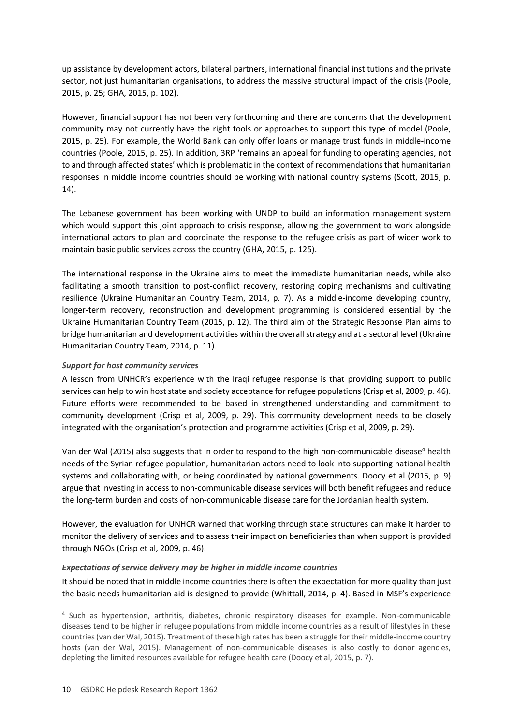up assistance by development actors, bilateral partners, international financial institutions and the private sector, not just humanitarian organisations, to address the massive structural impact of the crisis (Poole, 2015, p. 25; GHA, 2015, p. 102).

However, financial support has not been very forthcoming and there are concerns that the development community may not currently have the right tools or approaches to support this type of model (Poole, 2015, p. 25). For example, the World Bank can only offer loans or manage trust funds in middle-income countries (Poole, 2015, p. 25). In addition, 3RP 'remains an appeal for funding to operating agencies, not to and through affected states' which is problematic in the context of recommendations that humanitarian responses in middle income countries should be working with national country systems (Scott, 2015, p. 14).

The Lebanese government has been working with UNDP to build an information management system which would support this joint approach to crisis response, allowing the government to work alongside international actors to plan and coordinate the response to the refugee crisis as part of wider work to maintain basic public services across the country (GHA, 2015, p. 125).

The international response in the Ukraine aims to meet the immediate humanitarian needs, while also facilitating a smooth transition to post-conflict recovery, restoring coping mechanisms and cultivating resilience (Ukraine Humanitarian Country Team, 2014, p. 7). As a middle-income developing country, longer-term recovery, reconstruction and development programming is considered essential by the Ukraine Humanitarian Country Team (2015, p. 12). The third aim of the Strategic Response Plan aims to bridge humanitarian and development activities within the overall strategy and at a sectoral level (Ukraine Humanitarian Country Team, 2014, p. 11).

#### *Support for host community services*

A lesson from UNHCR's experience with the Iraqi refugee response is that providing support to public services can help to win host state and society acceptance for refugee populations(Crisp et al, 2009, p. 46). Future efforts were recommended to be based in strengthened understanding and commitment to community development (Crisp et al, 2009, p. 29). This community development needs to be closely integrated with the organisation's protection and programme activities (Crisp et al, 2009, p. 29).

Van der Wal (2015) also suggests that in order to respond to the high non-communicable disease<sup>4</sup> health needs of the Syrian refugee population, humanitarian actors need to look into supporting national health systems and collaborating with, or being coordinated by national governments. Doocy et al (2015, p. 9) argue that investing in access to non-communicable disease services will both benefit refugees and reduce the long-term burden and costs of non-communicable disease care for the Jordanian health system.

However, the evaluation for UNHCR warned that working through state structures can make it harder to monitor the delivery of services and to assess their impact on beneficiaries than when support is provided through NGOs (Crisp et al, 2009, p. 46).

### *Expectations of service delivery may be higher in middle income countries*

It should be noted that in middle income countries there is often the expectation for more quality than just the basic needs humanitarian aid is designed to provide (Whittall, 2014, p. 4). Based in MSF's experience

-

<sup>4</sup> Such as hypertension, arthritis, diabetes, chronic respiratory diseases for example. Non-communicable diseases tend to be higher in refugee populations from middle income countries as a result of lifestyles in these countries (van der Wal, 2015). Treatment of these high rates has been a struggle for their middle-income country hosts (van der Wal, 2015). Management of non-communicable diseases is also costly to donor agencies, depleting the limited resources available for refugee health care (Doocy et al, 2015, p. 7).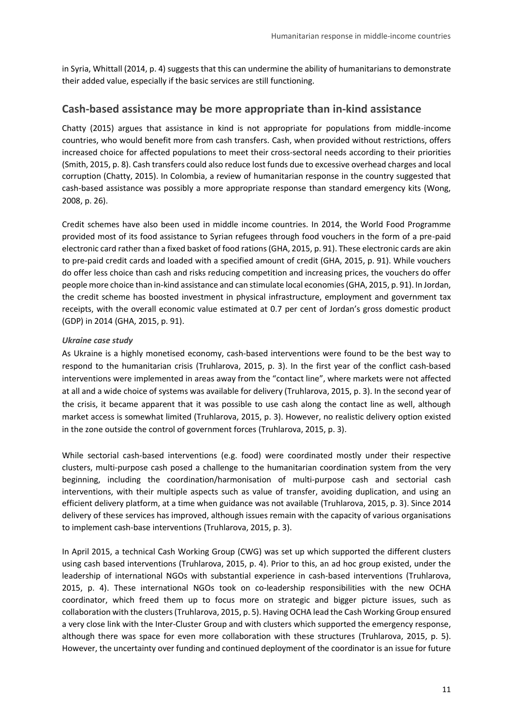in Syria, Whittall (2014, p. 4) suggests that this can undermine the ability of humanitarians to demonstrate their added value, especially if the basic services are still functioning.

### **Cash-based assistance may be more appropriate than in-kind assistance**

Chatty (2015) argues that assistance in kind is not appropriate for populations from middle-income countries, who would benefit more from cash transfers. Cash, when provided without restrictions, offers increased choice for affected populations to meet their cross-sectoral needs according to their priorities (Smith, 2015, p. 8). Cash transfers could also reduce lost funds due to excessive overhead charges and local corruption (Chatty, 2015). In Colombia, a review of humanitarian response in the country suggested that cash-based assistance was possibly a more appropriate response than standard emergency kits (Wong, 2008, p. 26).

Credit schemes have also been used in middle income countries. In 2014, the World Food Programme provided most of its food assistance to Syrian refugees through food vouchers in the form of a pre-paid electronic card rather than a fixed basket of food rations (GHA, 2015, p. 91). These electronic cards are akin to pre-paid credit cards and loaded with a specified amount of credit (GHA, 2015, p. 91). While vouchers do offer less choice than cash and risks reducing competition and increasing prices, the vouchers do offer people more choice than in-kind assistance and can stimulate local economies(GHA, 2015, p. 91). In Jordan, the credit scheme has boosted investment in physical infrastructure, employment and government tax receipts, with the overall economic value estimated at 0.7 per cent of Jordan's gross domestic product (GDP) in 2014 (GHA, 2015, p. 91).

#### *Ukraine case study*

As Ukraine is a highly monetised economy, cash-based interventions were found to be the best way to respond to the humanitarian crisis (Truhlarova, 2015, p. 3). In the first year of the conflict cash-based interventions were implemented in areas away from the "contact line", where markets were not affected at all and a wide choice of systems was available for delivery (Truhlarova, 2015, p. 3). In the second year of the crisis, it became apparent that it was possible to use cash along the contact line as well, although market access is somewhat limited (Truhlarova, 2015, p. 3). However, no realistic delivery option existed in the zone outside the control of government forces (Truhlarova, 2015, p. 3).

While sectorial cash-based interventions (e.g. food) were coordinated mostly under their respective clusters, multi-purpose cash posed a challenge to the humanitarian coordination system from the very beginning, including the coordination/harmonisation of multi-purpose cash and sectorial cash interventions, with their multiple aspects such as value of transfer, avoiding duplication, and using an efficient delivery platform, at a time when guidance was not available (Truhlarova, 2015, p. 3). Since 2014 delivery of these services has improved, although issues remain with the capacity of various organisations to implement cash-base interventions (Truhlarova, 2015, p. 3).

In April 2015, a technical Cash Working Group (CWG) was set up which supported the different clusters using cash based interventions (Truhlarova, 2015, p. 4). Prior to this, an ad hoc group existed, under the leadership of international NGOs with substantial experience in cash-based interventions (Truhlarova, 2015, p. 4). These international NGOs took on co-leadership responsibilities with the new OCHA coordinator, which freed them up to focus more on strategic and bigger picture issues, such as collaboration with the clusters (Truhlarova, 2015, p. 5). Having OCHA lead the Cash Working Group ensured a very close link with the Inter-Cluster Group and with clusters which supported the emergency response, although there was space for even more collaboration with these structures (Truhlarova, 2015, p. 5). However, the uncertainty over funding and continued deployment of the coordinator is an issue for future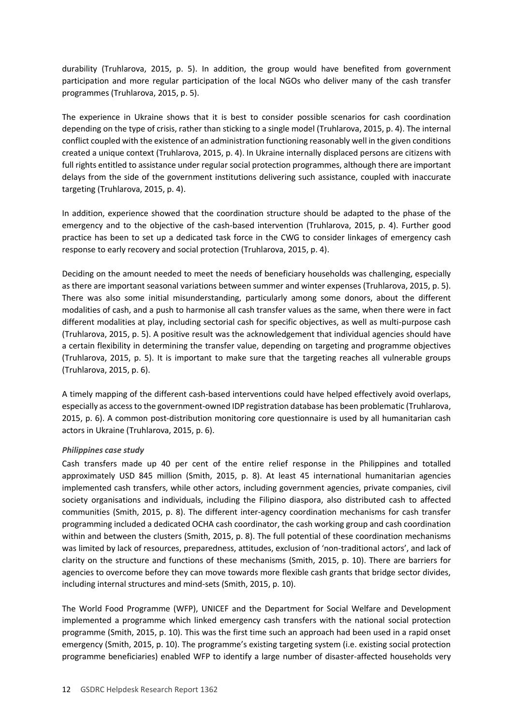durability (Truhlarova, 2015, p. 5). In addition, the group would have benefited from government participation and more regular participation of the local NGOs who deliver many of the cash transfer programmes (Truhlarova, 2015, p. 5).

The experience in Ukraine shows that it is best to consider possible scenarios for cash coordination depending on the type of crisis, rather than sticking to a single model (Truhlarova, 2015, p. 4). The internal conflict coupled with the existence of an administration functioning reasonably well in the given conditions created a unique context (Truhlarova, 2015, p. 4). In Ukraine internally displaced persons are citizens with full rights entitled to assistance under regular social protection programmes, although there are important delays from the side of the government institutions delivering such assistance, coupled with inaccurate targeting (Truhlarova, 2015, p. 4).

In addition, experience showed that the coordination structure should be adapted to the phase of the emergency and to the objective of the cash-based intervention (Truhlarova, 2015, p. 4). Further good practice has been to set up a dedicated task force in the CWG to consider linkages of emergency cash response to early recovery and social protection (Truhlarova, 2015, p. 4).

Deciding on the amount needed to meet the needs of beneficiary households was challenging, especially as there are important seasonal variations between summer and winter expenses (Truhlarova, 2015, p. 5). There was also some initial misunderstanding, particularly among some donors, about the different modalities of cash, and a push to harmonise all cash transfer values as the same, when there were in fact different modalities at play, including sectorial cash for specific objectives, as well as multi-purpose cash (Truhlarova, 2015, p. 5). A positive result was the acknowledgement that individual agencies should have a certain flexibility in determining the transfer value, depending on targeting and programme objectives (Truhlarova, 2015, p. 5). It is important to make sure that the targeting reaches all vulnerable groups (Truhlarova, 2015, p. 6).

A timely mapping of the different cash-based interventions could have helped effectively avoid overlaps, especially as access to the government-owned IDP registration database has been problematic (Truhlarova, 2015, p. 6). A common post-distribution monitoring core questionnaire is used by all humanitarian cash actors in Ukraine (Truhlarova, 2015, p. 6).

#### *Philippines case study*

Cash transfers made up 40 per cent of the entire relief response in the Philippines and totalled approximately USD 845 million (Smith, 2015, p. 8). At least 45 international humanitarian agencies implemented cash transfers, while other actors, including government agencies, private companies, civil society organisations and individuals, including the Filipino diaspora, also distributed cash to affected communities (Smith, 2015, p. 8). The different inter-agency coordination mechanisms for cash transfer programming included a dedicated OCHA cash coordinator, the cash working group and cash coordination within and between the clusters (Smith, 2015, p. 8). The full potential of these coordination mechanisms was limited by lack of resources, preparedness, attitudes, exclusion of 'non-traditional actors', and lack of clarity on the structure and functions of these mechanisms (Smith, 2015, p. 10). There are barriers for agencies to overcome before they can move towards more flexible cash grants that bridge sector divides, including internal structures and mind-sets (Smith, 2015, p. 10).

The World Food Programme (WFP), UNICEF and the Department for Social Welfare and Development implemented a programme which linked emergency cash transfers with the national social protection programme (Smith, 2015, p. 10). This was the first time such an approach had been used in a rapid onset emergency (Smith, 2015, p. 10). The programme's existing targeting system (i.e. existing social protection programme beneficiaries) enabled WFP to identify a large number of disaster-affected households very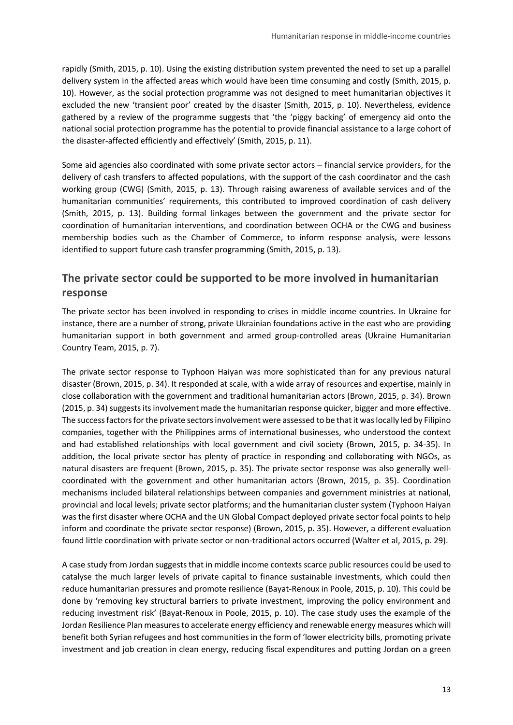rapidly (Smith, 2015, p. 10). Using the existing distribution system prevented the need to set up a parallel delivery system in the affected areas which would have been time consuming and costly (Smith, 2015, p. 10). However, as the social protection programme was not designed to meet humanitarian objectives it excluded the new 'transient poor' created by the disaster (Smith, 2015, p. 10). Nevertheless, evidence gathered by a review of the programme suggests that 'the 'piggy backing' of emergency aid onto the national social protection programme has the potential to provide financial assistance to a large cohort of the disaster-affected efficiently and effectively' (Smith, 2015, p. 11).

Some aid agencies also coordinated with some private sector actors – financial service providers, for the delivery of cash transfers to affected populations, with the support of the cash coordinator and the cash working group (CWG) (Smith, 2015, p. 13). Through raising awareness of available services and of the humanitarian communities' requirements, this contributed to improved coordination of cash delivery (Smith, 2015, p. 13). Building formal linkages between the government and the private sector for coordination of humanitarian interventions, and coordination between OCHA or the CWG and business membership bodies such as the Chamber of Commerce, to inform response analysis, were lessons identified to support future cash transfer programming (Smith, 2015, p. 13).

# **The private sector could be supported to be more involved in humanitarian response**

The private sector has been involved in responding to crises in middle income countries. In Ukraine for instance, there are a number of strong, private Ukrainian foundations active in the east who are providing humanitarian support in both government and armed group-controlled areas (Ukraine Humanitarian Country Team, 2015, p. 7).

The private sector response to Typhoon Haiyan was more sophisticated than for any previous natural disaster (Brown, 2015, p. 34). It responded at scale, with a wide array of resources and expertise, mainly in close collaboration with the government and traditional humanitarian actors (Brown, 2015, p. 34). Brown (2015, p. 34) suggests its involvement made the humanitarian response quicker, bigger and more effective. The success factors for the private sectors involvement were assessed to be that it was locally led by Filipino companies, together with the Philippines arms of international businesses, who understood the context and had established relationships with local government and civil society (Brown, 2015, p. 34-35). In addition, the local private sector has plenty of practice in responding and collaborating with NGOs, as natural disasters are frequent (Brown, 2015, p. 35). The private sector response was also generally wellcoordinated with the government and other humanitarian actors (Brown, 2015, p. 35). Coordination mechanisms included bilateral relationships between companies and government ministries at national, provincial and local levels; private sector platforms; and the humanitarian cluster system (Typhoon Haiyan was the first disaster where OCHA and the UN Global Compact deployed private sector focal points to help inform and coordinate the private sector response) (Brown, 2015, p. 35). However, a different evaluation found little coordination with private sector or non-traditional actors occurred (Walter et al, 2015, p. 29).

A case study from Jordan suggests that in middle income contexts scarce public resources could be used to catalyse the much larger levels of private capital to finance sustainable investments, which could then reduce humanitarian pressures and promote resilience (Bayat-Renoux in Poole, 2015, p. 10). This could be done by 'removing key structural barriers to private investment, improving the policy environment and reducing investment risk' (Bayat-Renoux in Poole, 2015, p. 10). The case study uses the example of the Jordan Resilience Plan measures to accelerate energy efficiency and renewable energy measures which will benefit both Syrian refugees and host communities in the form of 'lower electricity bills, promoting private investment and job creation in clean energy, reducing fiscal expenditures and putting Jordan on a green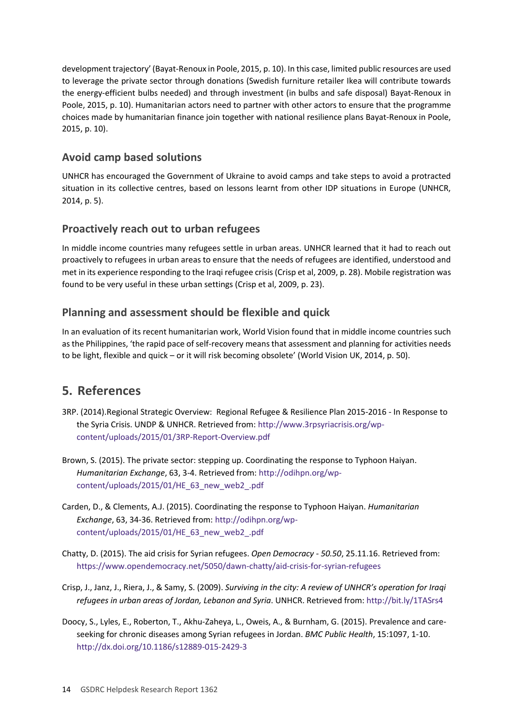development trajectory' (Bayat-Renoux in Poole, 2015, p. 10). In this case, limited public resources are used to leverage the private sector through donations (Swedish furniture retailer Ikea will contribute towards the energy-efficient bulbs needed) and through investment (in bulbs and safe disposal) Bayat-Renoux in Poole, 2015, p. 10). Humanitarian actors need to partner with other actors to ensure that the programme choices made by humanitarian finance join together with national resilience plans Bayat-Renoux in Poole, 2015, p. 10).

### **Avoid camp based solutions**

UNHCR has encouraged the Government of Ukraine to avoid camps and take steps to avoid a protracted situation in its collective centres, based on lessons learnt from other IDP situations in Europe (UNHCR, 2014, p. 5).

# **Proactively reach out to urban refugees**

In middle income countries many refugees settle in urban areas. UNHCR learned that it had to reach out proactively to refugees in urban areas to ensure that the needs of refugees are identified, understood and met in its experience responding to the Iraqi refugee crisis (Crisp et al, 2009, p. 28). Mobile registration was found to be very useful in these urban settings (Crisp et al, 2009, p. 23).

# **Planning and assessment should be flexible and quick**

In an evaluation of its recent humanitarian work, World Vision found that in middle income countries such as the Philippines, 'the rapid pace of self-recovery means that assessment and planning for activities needs to be light, flexible and quick – or it will risk becoming obsolete' (World Vision UK, 2014, p. 50).

# <span id="page-13-0"></span>**5. References**

- 3RP. (2014).Regional Strategic Overview: Regional Refugee & Resilience Plan 2015-2016 In Response to the Syria Crisis. UNDP & UNHCR. Retrieved from[: http://www.3rpsyriacrisis.org/wp](http://www.3rpsyriacrisis.org/wp-content/uploads/2015/01/3RP-Report-Overview.pdf)[content/uploads/2015/01/3RP-Report-Overview.pdf](http://www.3rpsyriacrisis.org/wp-content/uploads/2015/01/3RP-Report-Overview.pdf)
- Brown, S. (2015). The private sector: stepping up. Coordinating the response to Typhoon Haiyan. *Humanitarian Exchange*, 63, 3-4. Retrieved from[: http://odihpn.org/wp](http://odihpn.org/wp-content/uploads/2015/01/HE_63_new_web2_.pdf)[content/uploads/2015/01/HE\\_63\\_new\\_web2\\_.pdf](http://odihpn.org/wp-content/uploads/2015/01/HE_63_new_web2_.pdf)
- Carden, D., & Clements, A.J. (2015). Coordinating the response to Typhoon Haiyan. *Humanitarian Exchange*, 63, 34-36. Retrieved from[: http://odihpn.org/wp](http://odihpn.org/wp-content/uploads/2015/01/HE_63_new_web2_.pdf)[content/uploads/2015/01/HE\\_63\\_new\\_web2\\_.pdf](http://odihpn.org/wp-content/uploads/2015/01/HE_63_new_web2_.pdf)
- Chatty, D. (2015). The aid crisis for Syrian refugees. *Open Democracy - 50.50*, 25.11.16. Retrieved from: <https://www.opendemocracy.net/5050/dawn-chatty/aid-crisis-for-syrian-refugees>
- Crisp, J., Janz, J., Riera, J., & Samy, S. (2009). *Surviving in the city: A review of UNHCR's operation for Iraqi refugees in urban areas of Jordan, Lebanon and Syria*. UNHCR. Retrieved from[: http://bit.ly/1TASrs4](http://bit.ly/1TASrs4)
- Doocy, S., Lyles, E., Roberton, T., Akhu-Zaheya, L., Oweis, A., & Burnham, G. (2015). Prevalence and careseeking for chronic diseases among Syrian refugees in Jordan. *BMC Public Health*, 15:1097, 1-10. <http://dx.doi.org/10.1186/s12889-015-2429-3>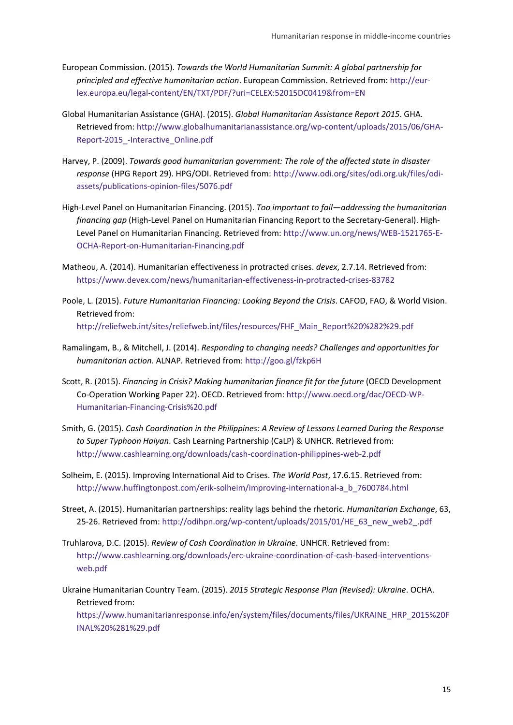- European Commission. (2015). *Towards the World Humanitarian Summit: A global partnership for principled and effective humanitarian action*. European Commission. Retrieved from[: http://eur](http://eur-lex.europa.eu/legal-content/EN/TXT/PDF/?uri=CELEX:52015DC0419&from=EN)[lex.europa.eu/legal-content/EN/TXT/PDF/?uri=CELEX:52015DC0419&from=EN](http://eur-lex.europa.eu/legal-content/EN/TXT/PDF/?uri=CELEX:52015DC0419&from=EN)
- Global Humanitarian Assistance (GHA). (2015). *Global Humanitarian Assistance Report 2015*. GHA. Retrieved from[: http://www.globalhumanitarianassistance.org/wp-content/uploads/2015/06/GHA-](http://www.globalhumanitarianassistance.org/wp-content/uploads/2015/06/GHA-Report-2015_-Interactive_Online.pdf)[Report-2015\\_-Interactive\\_Online.pdf](http://www.globalhumanitarianassistance.org/wp-content/uploads/2015/06/GHA-Report-2015_-Interactive_Online.pdf)
- Harvey, P. (2009). *Towards good humanitarian government: The role of the affected state in disaster response* (HPG Report 29). HPG/ODI. Retrieved from: [http://www.odi.org/sites/odi.org.uk/files/odi](http://www.odi.org/sites/odi.org.uk/files/odi-assets/publications-opinion-files/5076.pdf)[assets/publications-opinion-files/5076.pdf](http://www.odi.org/sites/odi.org.uk/files/odi-assets/publications-opinion-files/5076.pdf)
- High-Level Panel on Humanitarian Financing. (2015). *Too important to fail—addressing the humanitarian financing gap* (High-Level Panel on Humanitarian Financing Report to the Secretary-General). High-Level Panel on Humanitarian Financing. Retrieved from: [http://www.un.org/news/WEB-1521765-E-](http://www.un.org/news/WEB-1521765-E-OCHA-Report-on-Humanitarian-Financing.pdf)[OCHA-Report-on-Humanitarian-Financing.pdf](http://www.un.org/news/WEB-1521765-E-OCHA-Report-on-Humanitarian-Financing.pdf)
- Matheou, A. (2014). Humanitarian effectiveness in protracted crises. *devex*, 2.7.14. Retrieved from: <https://www.devex.com/news/humanitarian-effectiveness-in-protracted-crises-83782>
- Poole, L. (2015). *Future Humanitarian Financing: Looking Beyond the Crisis*. CAFOD, FAO, & World Vision. Retrieved from: [http://reliefweb.int/sites/reliefweb.int/files/resources/FHF\\_Main\\_Report%20%282%29.pdf](http://reliefweb.int/sites/reliefweb.int/files/resources/FHF_Main_Report%20%282%29.pdf)
- Ramalingam, B., & Mitchell, J. (2014). *Responding to changing needs? Challenges and opportunities for humanitarian action*. ALNAP. Retrieved from[: http://goo.gl/fzkp6H](http://goo.gl/fzkp6H)
- Scott, R. (2015). *Financing in Crisis? Making humanitarian finance fit for the future* (OECD Development Co-Operation Working Paper 22). OECD. Retrieved from[: http://www.oecd.org/dac/OECD-WP-](http://www.oecd.org/dac/OECD-WP-Humanitarian-Financing-Crisis%20.pdf)[Humanitarian-Financing-Crisis%20.pdf](http://www.oecd.org/dac/OECD-WP-Humanitarian-Financing-Crisis%20.pdf)
- Smith, G. (2015). *Cash Coordination in the Philippines: A Review of Lessons Learned During the Response to Super Typhoon Haiyan*. Cash Learning Partnership (CaLP) & UNHCR. Retrieved from: <http://www.cashlearning.org/downloads/cash-coordination-philippines-web-2.pdf>
- Solheim, E. (2015). Improving International Aid to Crises. *The World Post*, 17.6.15. Retrieved from: [http://www.huffingtonpost.com/erik-solheim/improving-international-a\\_b\\_7600784.html](http://www.huffingtonpost.com/erik-solheim/improving-international-a_b_7600784.html)
- Street, A. (2015). Humanitarian partnerships: reality lags behind the rhetoric. *Humanitarian Exchange*, 63, 25-26. Retrieved from: [http://odihpn.org/wp-content/uploads/2015/01/HE\\_63\\_new\\_web2\\_.pdf](http://odihpn.org/wp-content/uploads/2015/01/HE_63_new_web2_.pdf)
- Truhlarova, D.C. (2015). *Review of Cash Coordination in Ukraine*. UNHCR. Retrieved from: [http://www.cashlearning.org/downloads/erc-ukraine-coordination-of-cash-based-interventions](http://www.cashlearning.org/downloads/erc-ukraine-coordination-of-cash-based-interventions-web.pdf)[web.pdf](http://www.cashlearning.org/downloads/erc-ukraine-coordination-of-cash-based-interventions-web.pdf)
- Ukraine Humanitarian Country Team. (2015). *2015 Strategic Response Plan (Revised): Ukraine*. OCHA. Retrieved from:

[https://www.humanitarianresponse.info/en/system/files/documents/files/UKRAINE\\_HRP\\_2015%20F](https://www.humanitarianresponse.info/en/system/files/documents/files/UKRAINE_HRP_2015%20FINAL%20%281%29.pdf) [INAL%20%281%29.pdf](https://www.humanitarianresponse.info/en/system/files/documents/files/UKRAINE_HRP_2015%20FINAL%20%281%29.pdf)